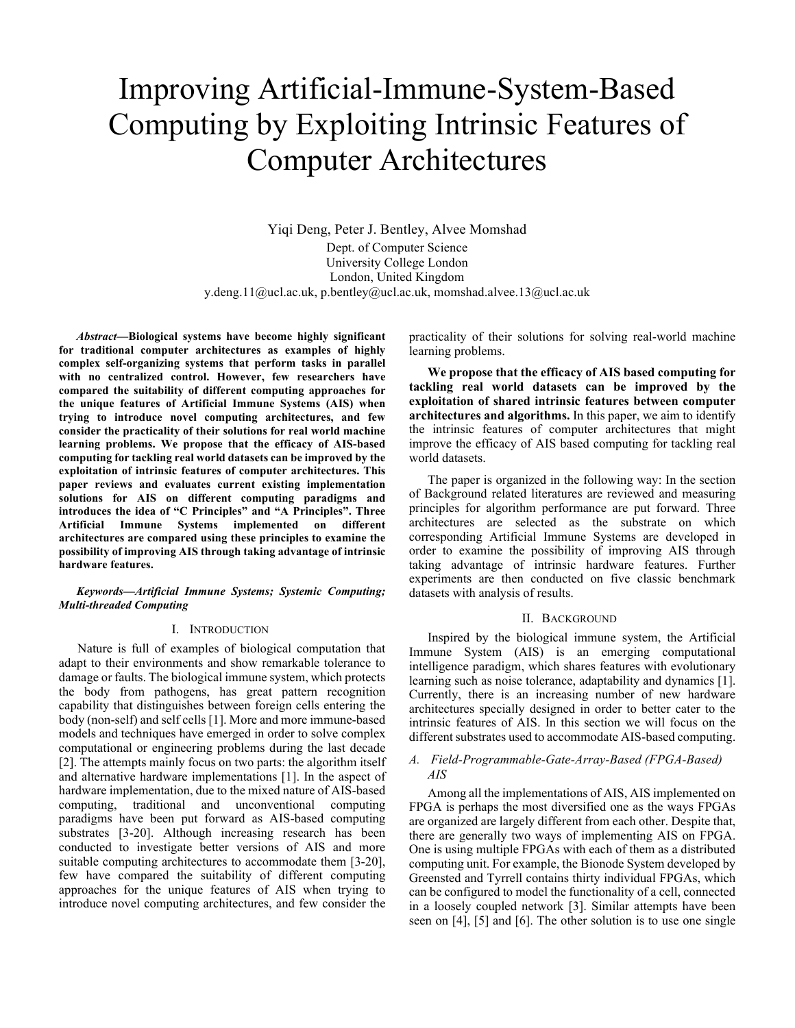# Improving Artificial-Immune-System-Based Computing by Exploiting Intrinsic Features of Computer Architectures

Yiqi Deng, Peter J. Bentley, Alvee Momshad Dept. of Computer Science University College London London, United Kingdom y.deng.11@ucl.ac.uk, p.bentley@ucl.ac.uk, momshad.alvee.13@ucl.ac.uk

*Abstract***—Biological systems have become highly significant for traditional computer architectures as examples of highly complex self-organizing systems that perform tasks in parallel with no centralized control. However, few researchers have compared the suitability of different computing approaches for the unique features of Artificial Immune Systems (AIS) when trying to introduce novel computing architectures, and few consider the practicality of their solutions for real world machine learning problems. We propose that the efficacy of AIS-based computing for tackling real world datasets can be improved by the exploitation of intrinsic features of computer architectures. This paper reviews and evaluates current existing implementation solutions for AIS on different computing paradigms and introduces the idea of "C Principles" and "A Principles". Three Artificial Immune Systems implemented on different architectures are compared using these principles to examine the possibility of improving AIS through taking advantage of intrinsic hardware features.**

#### *Keywords—Artificial Immune Systems; Systemic Computing; Multi-threaded Computing*

# I. INTRODUCTION

Nature is full of examples of biological computation that adapt to their environments and show remarkable tolerance to damage or faults. The biological immune system, which protects the body from pathogens, has great pattern recognition capability that distinguishes between foreign cells entering the body (non-self) and self cells [1]. More and more immune-based models and techniques have emerged in order to solve complex computational or engineering problems during the last decade [2]. The attempts mainly focus on two parts: the algorithm itself and alternative hardware implementations [1]. In the aspect of hardware implementation, due to the mixed nature of AIS-based computing, traditional and unconventional computing paradigms have been put forward as AIS-based computing substrates [3-20]. Although increasing research has been conducted to investigate better versions of AIS and more suitable computing architectures to accommodate them [3-20], few have compared the suitability of different computing approaches for the unique features of AIS when trying to introduce novel computing architectures, and few consider the

practicality of their solutions for solving real-world machine learning problems.

**We propose that the efficacy of AIS based computing for tackling real world datasets can be improved by the exploitation of shared intrinsic features between computer architectures and algorithms.** In this paper, we aim to identify the intrinsic features of computer architectures that might improve the efficacy of AIS based computing for tackling real world datasets.

The paper is organized in the following way: In the section of Background related literatures are reviewed and measuring principles for algorithm performance are put forward. Three architectures are selected as the substrate on which corresponding Artificial Immune Systems are developed in order to examine the possibility of improving AIS through taking advantage of intrinsic hardware features. Further experiments are then conducted on five classic benchmark datasets with analysis of results.

# II. BACKGROUND

Inspired by the biological immune system, the Artificial Immune System (AIS) is an emerging computational intelligence paradigm, which shares features with evolutionary learning such as noise tolerance, adaptability and dynamics [1]. Currently, there is an increasing number of new hardware architectures specially designed in order to better cater to the intrinsic features of AIS. In this section we will focus on the different substrates used to accommodate AIS-based computing.

# *A. Field-Programmable-Gate-Array-Based (FPGA-Based) AIS*

Among all the implementations of AIS, AIS implemented on FPGA is perhaps the most diversified one as the ways FPGAs are organized are largely different from each other. Despite that, there are generally two ways of implementing AIS on FPGA. One is using multiple FPGAs with each of them as a distributed computing unit. For example, the Bionode System developed by Greensted and Tyrrell contains thirty individual FPGAs, which can be configured to model the functionality of a cell, connected in a loosely coupled network [3]. Similar attempts have been seen on [4], [5] and [6]. The other solution is to use one single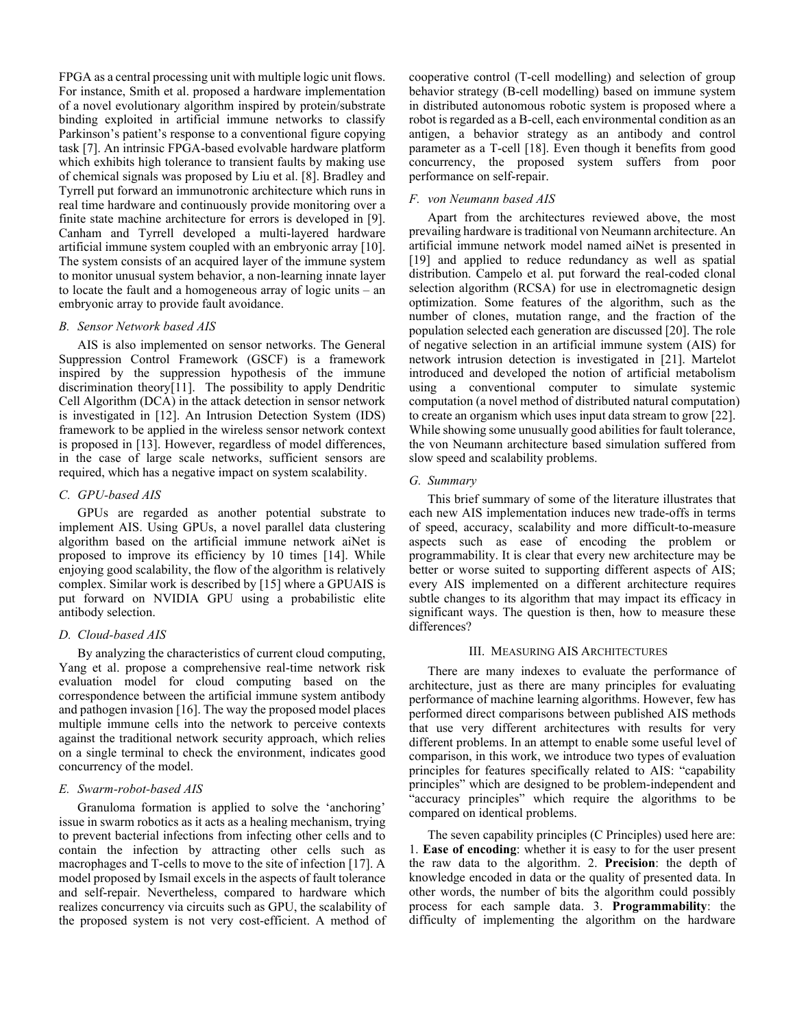FPGA as a central processing unit with multiple logic unit flows. For instance, Smith et al. proposed a hardware implementation of a novel evolutionary algorithm inspired by protein/substrate binding exploited in artificial immune networks to classify Parkinson's patient's response to a conventional figure copying task [7]. An intrinsic FPGA-based evolvable hardware platform which exhibits high tolerance to transient faults by making use of chemical signals was proposed by Liu et al. [8]. Bradley and Tyrrell put forward an immunotronic architecture which runs in real time hardware and continuously provide monitoring over a finite state machine architecture for errors is developed in [9]. Canham and Tyrrell developed a multi-layered hardware artificial immune system coupled with an embryonic array [10]. The system consists of an acquired layer of the immune system to monitor unusual system behavior, a non-learning innate layer to locate the fault and a homogeneous array of logic units – an embryonic array to provide fault avoidance.

# *B. Sensor Network based AIS*

AIS is also implemented on sensor networks. The General Suppression Control Framework (GSCF) is a framework inspired by the suppression hypothesis of the immune discrimination theory[11]. The possibility to apply Dendritic Cell Algorithm (DCA) in the attack detection in sensor network is investigated in [12]. An Intrusion Detection System (IDS) framework to be applied in the wireless sensor network context is proposed in [13]. However, regardless of model differences, in the case of large scale networks, sufficient sensors are required, which has a negative impact on system scalability.

#### *C. GPU-based AIS*

GPUs are regarded as another potential substrate to implement AIS. Using GPUs, a novel parallel data clustering algorithm based on the artificial immune network aiNet is proposed to improve its efficiency by 10 times [14]. While enjoying good scalability, the flow of the algorithm is relatively complex. Similar work is described by [15] where a GPUAIS is put forward on NVIDIA GPU using a probabilistic elite antibody selection.

#### *D. Cloud-based AIS*

By analyzing the characteristics of current cloud computing, Yang et al. propose a comprehensive real-time network risk evaluation model for cloud computing based on the correspondence between the artificial immune system antibody and pathogen invasion [16]. The way the proposed model places multiple immune cells into the network to perceive contexts against the traditional network security approach, which relies on a single terminal to check the environment, indicates good concurrency of the model.

# *E. Swarm-robot-based AIS*

Granuloma formation is applied to solve the 'anchoring' issue in swarm robotics as it acts as a healing mechanism, trying to prevent bacterial infections from infecting other cells and to contain the infection by attracting other cells such as macrophages and T-cells to move to the site of infection [17]. A model proposed by Ismail excels in the aspects of fault tolerance and self-repair. Nevertheless, compared to hardware which realizes concurrency via circuits such as GPU, the scalability of the proposed system is not very cost-efficient. A method of

cooperative control (T-cell modelling) and selection of group behavior strategy (B-cell modelling) based on immune system in distributed autonomous robotic system is proposed where a robot is regarded as a B-cell, each environmental condition as an antigen, a behavior strategy as an antibody and control parameter as a T-cell [18]. Even though it benefits from good concurrency, the proposed system suffers from poor performance on self-repair.

### *F. von Neumann based AIS*

Apart from the architectures reviewed above, the most prevailing hardware is traditional von Neumann architecture. An artificial immune network model named aiNet is presented in [19] and applied to reduce redundancy as well as spatial distribution. Campelo et al. put forward the real-coded clonal selection algorithm (RCSA) for use in electromagnetic design optimization. Some features of the algorithm, such as the number of clones, mutation range, and the fraction of the population selected each generation are discussed [20]. The role of negative selection in an artificial immune system (AIS) for network intrusion detection is investigated in [21]. Martelot introduced and developed the notion of artificial metabolism using a conventional computer to simulate systemic computation (a novel method of distributed natural computation) to create an organism which uses input data stream to grow [22]. While showing some unusually good abilities for fault tolerance, the von Neumann architecture based simulation suffered from slow speed and scalability problems.

# *G. Summary*

This brief summary of some of the literature illustrates that each new AIS implementation induces new trade-offs in terms of speed, accuracy, scalability and more difficult-to-measure aspects such as ease of encoding the problem or programmability. It is clear that every new architecture may be better or worse suited to supporting different aspects of AIS; every AIS implemented on a different architecture requires subtle changes to its algorithm that may impact its efficacy in significant ways. The question is then, how to measure these differences?

#### III. MEASURING AIS ARCHITECTURES

There are many indexes to evaluate the performance of architecture, just as there are many principles for evaluating performance of machine learning algorithms. However, few has performed direct comparisons between published AIS methods that use very different architectures with results for very different problems. In an attempt to enable some useful level of comparison, in this work, we introduce two types of evaluation principles for features specifically related to AIS: "capability principles" which are designed to be problem-independent and "accuracy principles" which require the algorithms to be compared on identical problems.

The seven capability principles (C Principles) used here are: 1. **Ease of encoding**: whether it is easy to for the user present the raw data to the algorithm. 2. **Precision**: the depth of knowledge encoded in data or the quality of presented data. In other words, the number of bits the algorithm could possibly process for each sample data. 3. **Programmability**: the difficulty of implementing the algorithm on the hardware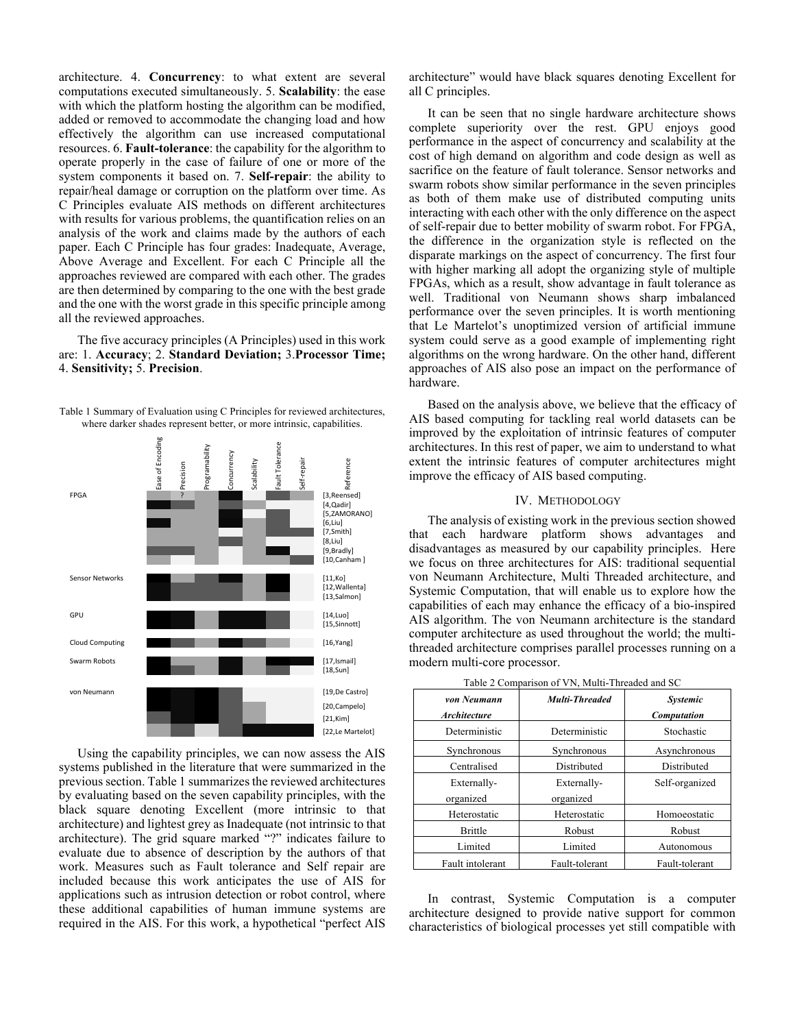architecture. 4. **Concurrency**: to what extent are several computations executed simultaneously. 5. **Scalability**: the ease with which the platform hosting the algorithm can be modified, added or removed to accommodate the changing load and how effectively the algorithm can use increased computational resources. 6. **Fault-tolerance**: the capability for the algorithm to operate properly in the case of failure of one or more of the system components it based on. 7. **Self-repair**: the ability to repair/heal damage or corruption on the platform over time. As C Principles evaluate AIS methods on different architectures with results for various problems, the quantification relies on an analysis of the work and claims made by the authors of each paper. Each C Principle has four grades: Inadequate, Average, Above Average and Excellent. For each C Principle all the approaches reviewed are compared with each other. The grades are then determined by comparing to the one with the best grade and the one with the worst grade in this specific principle among all the reviewed approaches.

The five accuracy principles (A Principles) used in this work are: 1. **Accuracy**; 2. **Standard Deviation;** 3.**Processor Time;**  4. **Sensitivity;** 5. **Precision**.

Table 1 Summary of Evaluation using C Principles for reviewed architectures, where darker shades represent better, or more intrinsic, capabilities.



Using the capability principles, we can now assess the AIS systems published in the literature that were summarized in the previous section. Table 1 summarizes the reviewed architectures by evaluating based on the seven capability principles, with the black square denoting Excellent (more intrinsic to that architecture) and lightest grey as Inadequate (not intrinsic to that architecture). The grid square marked "?" indicates failure to evaluate due to absence of description by the authors of that work. Measures such as Fault tolerance and Self repair are included because this work anticipates the use of AIS for applications such as intrusion detection or robot control, where these additional capabilities of human immune systems are required in the AIS. For this work, a hypothetical "perfect AIS

architecture" would have black squares denoting Excellent for all C principles.

It can be seen that no single hardware architecture shows complete superiority over the rest. GPU enjoys good performance in the aspect of concurrency and scalability at the cost of high demand on algorithm and code design as well as sacrifice on the feature of fault tolerance. Sensor networks and swarm robots show similar performance in the seven principles as both of them make use of distributed computing units interacting with each other with the only difference on the aspect of self-repair due to better mobility of swarm robot. For FPGA, the difference in the organization style is reflected on the disparate markings on the aspect of concurrency. The first four with higher marking all adopt the organizing style of multiple FPGAs, which as a result, show advantage in fault tolerance as well. Traditional von Neumann shows sharp imbalanced performance over the seven principles. It is worth mentioning that Le Martelot's unoptimized version of artificial immune system could serve as a good example of implementing right algorithms on the wrong hardware. On the other hand, different approaches of AIS also pose an impact on the performance of hardware.

Based on the analysis above, we believe that the efficacy of AIS based computing for tackling real world datasets can be improved by the exploitation of intrinsic features of computer architectures. In this rest of paper, we aim to understand to what extent the intrinsic features of computer architectures might improve the efficacy of AIS based computing.

# IV. METHODOLOGY

The analysis of existing work in the previous section showed that each hardware platform shows advantages and disadvantages as measured by our capability principles. Here we focus on three architectures for AIS: traditional sequential von Neumann Architecture, Multi Threaded architecture, and Systemic Computation, that will enable us to explore how the capabilities of each may enhance the efficacy of a bio-inspired AIS algorithm. The von Neumann architecture is the standard computer architecture as used throughout the world; the multithreaded architecture comprises parallel processes running on a modern multi-core processor.

| von Neumann<br><b>Architecture</b> | <b>Multi-Threaded</b> | <b>Systemic</b><br><b>Computation</b> |  |  |  |
|------------------------------------|-----------------------|---------------------------------------|--|--|--|
| Deterministic                      | Deterministic         | Stochastic                            |  |  |  |
| Synchronous                        | Synchronous           | Asynchronous                          |  |  |  |
| Centralised                        | Distributed           | Distributed                           |  |  |  |
| Externally-                        | Externally-           | Self-organized                        |  |  |  |
| organized                          | organized             |                                       |  |  |  |
| Heterostatic                       | Heterostatic          | Homoeostatic                          |  |  |  |
| <b>Brittle</b>                     | Robust                | Robust                                |  |  |  |
| Limited                            | Limited               | Autonomous                            |  |  |  |
| Fault intolerant                   | Fault-tolerant        | Fault-tolerant                        |  |  |  |

Table 2 Comparison of VN, Multi-Threaded and SC

In contrast, Systemic Computation is a computer architecture designed to provide native support for common characteristics of biological processes yet still compatible with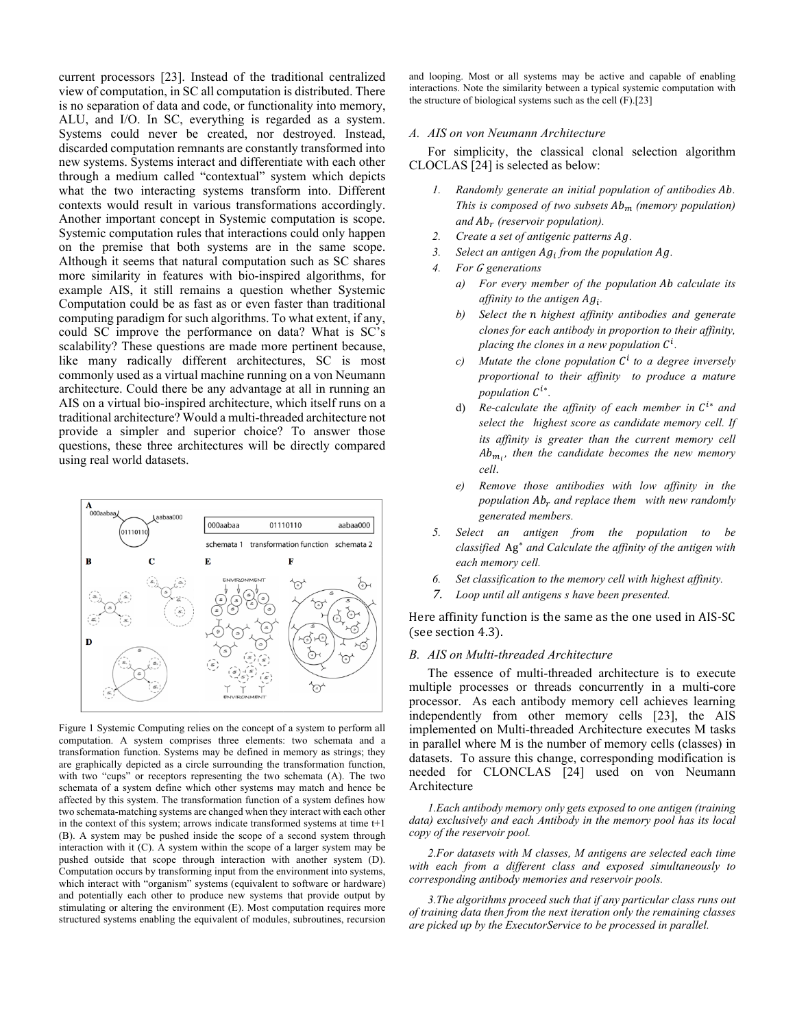current processors [23]. Instead of the traditional centralized view of computation, in SC all computation is distributed. There is no separation of data and code, or functionality into memory, ALU, and I/O. In SC, everything is regarded as a system. Systems could never be created, nor destroyed. Instead, discarded computation remnants are constantly transformed into new systems. Systems interact and differentiate with each other through a medium called "contextual" system which depicts what the two interacting systems transform into. Different contexts would result in various transformations accordingly. Another important concept in Systemic computation is scope. Systemic computation rules that interactions could only happen on the premise that both systems are in the same scope. Although it seems that natural computation such as SC shares more similarity in features with bio-inspired algorithms, for example AIS, it still remains a question whether Systemic Computation could be as fast as or even faster than traditional computing paradigm for such algorithms. To what extent, if any, could SC improve the performance on data? What is SC's scalability? These questions are made more pertinent because, like many radically different architectures, SC is most commonly used as a virtual machine running on a von Neumann architecture. Could there be any advantage at all in running an AIS on a virtual bio-inspired architecture, which itself runs on a traditional architecture? Would a multi-threaded architecture not provide a simpler and superior choice? To answer those questions, these three architectures will be directly compared using real world datasets.



Figure 1 Systemic Computing relies on the concept of a system to perform all computation. A system comprises three elements: two schemata and a transformation function. Systems may be defined in memory as strings; they are graphically depicted as a circle surrounding the transformation function, with two "cups" or receptors representing the two schemata (A). The two schemata of a system define which other systems may match and hence be affected by this system. The transformation function of a system defines how two schemata-matching systems are changed when they interact with each other in the context of this system; arrows indicate transformed systems at time t+1 (B). A system may be pushed inside the scope of a second system through interaction with it (C). A system within the scope of a larger system may be pushed outside that scope through interaction with another system (D). Computation occurs by transforming input from the environment into systems, which interact with "organism" systems (equivalent to software or hardware) and potentially each other to produce new systems that provide output by stimulating or altering the environment (E). Most computation requires more structured systems enabling the equivalent of modules, subroutines, recursion

and looping. Most or all systems may be active and capable of enabling interactions. Note the similarity between a typical systemic computation with the structure of biological systems such as the cell (F).[23]

# *A. AIS on von Neumann Architecture*

For simplicity, the classical clonal selection algorithm CLOCLAS [24] is selected as below:

- *1. Randomly generate an initial population of antibodies . This is composed of two subsets*  $Ab_m$  *(memory population)* and  $Ab_r$  (reservoir population).
- *2. Create a set of antigenic patterns .*
- 3. Select an antigen  $Ag_i$  from the population Ag.
- *4. For generations* 
	- *a) For every member of the population calculate its affinity to the antigen*  $Ag_i$ *.*
	- *b) Select the highest affinity antibodies and generate clones for each antibody in proportion to their affinity,*  placing the clones in a new population  $C^i$ .
	- *c*) Mutate the clone population  $C^i$  to a degree inversely *proportional to their affinity to produce a mature population*  $C^{i*}$ .
	- d) *Re-calculate the affinity of each member in*  $C^{i*}$  *and select the highest score as candidate memory cell. If its affinity is greater than the current memory cell*   $Ab_{m_i}$ , then the candidate becomes the new memory *cell*.
	- *e) Remove those antibodies with low affinity in the population*  $Ab_r$  *and replace them with new randomly generated members.*
- *5. Select an antigen from the population to be classified* Ag<sup>∗</sup> *and Calculate the affinity of the antigen with each memory cell.*
- *6. Set classification to the memory cell with highest affinity.*
- 7. *Loop until all antigens s have been presented.*

Here affinity function is the same as the one used in AIS-SC (see section 4.3).

# *B. AIS on Multi-threaded Architecture*

The essence of multi-threaded architecture is to execute multiple processes or threads concurrently in a multi-core processor. As each antibody memory cell achieves learning independently from other memory cells [23], the AIS implemented on Multi-threaded Architecture executes M tasks in parallel where M is the number of memory cells (classes) in datasets. To assure this change, corresponding modification is needed for CLONCLAS [24] used on von Neumann Architecture

*1.Each antibody memory only gets exposed to one antigen (training data) exclusively and each Antibody in the memory pool has its local copy of the reservoir pool.*

*2.For datasets with M classes, M antigens are selected each time with each from a different class and exposed simultaneously to corresponding antibody memories and reservoir pools.* 

*3.The algorithms proceed such that if any particular class runs out of training data then from the next iteration only the remaining classes are picked up by the ExecutorService to be processed in parallel.*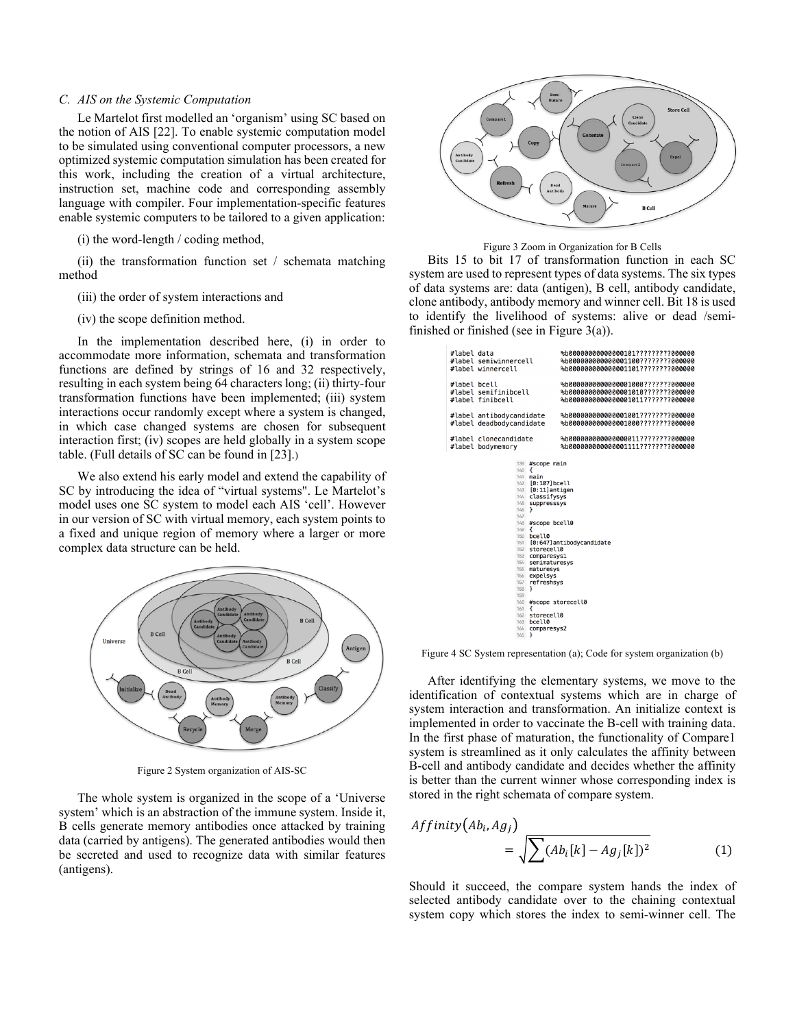# *C. AIS on the Systemic Computation*

Le Martelot first modelled an 'organism' using SC based on the notion of AIS [22]. To enable systemic computation model to be simulated using conventional computer processors, a new optimized systemic computation simulation has been created for this work, including the creation of a virtual architecture, instruction set, machine code and corresponding assembly language with compiler. Four implementation-specific features enable systemic computers to be tailored to a given application:

(i) the word-length / coding method,

(ii) the transformation function set / schemata matching method

(iii) the order of system interactions and

(iv) the scope definition method.

In the implementation described here, (i) in order to accommodate more information, schemata and transformation functions are defined by strings of 16 and 32 respectively, resulting in each system being 64 characters long; (ii) thirty-four transformation functions have been implemented; (iii) system interactions occur randomly except where a system is changed, in which case changed systems are chosen for subsequent interaction first; (iv) scopes are held globally in a system scope table. (Full details of SC can be found in [23].)

We also extend his early model and extend the capability of SC by introducing the idea of "virtual systems". Le Martelot's model uses one SC system to model each AIS 'cell'. However in our version of SC with virtual memory, each system points to a fixed and unique region of memory where a larger or more complex data structure can be held.



Figure 2 System organization of AIS-SC

The whole system is organized in the scope of a 'Universe system' which is an abstraction of the immune system. Inside it, B cells generate memory antibodies once attacked by training data (carried by antigens). The generated antibodies would then be secreted and used to recognize data with similar features (antigens).



Figure 3 Zoom in Organization for B Cells

Bits 15 to bit 17 of transformation function in each SC system are used to represent types of data systems. The six types of data systems are: data (antigen), B cell, antibody candidate, clone antibody, antibody memory and winner cell. Bit 18 is used to identify the livelihood of systems: alive or dead /semifinished or finished (see in Figure 3(a)).

| #label data  | #label semiwinnercell<br>#label winnercell                                          |                                                                                                                                                                                                                                                                                                                                                                                             | %b000000000000000101?????????000000<br>%b0000000000000001100????????000000<br>%b000000000000001101????????000000  |
|--------------|-------------------------------------------------------------------------------------|---------------------------------------------------------------------------------------------------------------------------------------------------------------------------------------------------------------------------------------------------------------------------------------------------------------------------------------------------------------------------------------------|-------------------------------------------------------------------------------------------------------------------|
| #label bcell | #label semifinibcell<br>#label finibcell                                            |                                                                                                                                                                                                                                                                                                                                                                                             | %b00000000000000001000???????000000<br>%b00000000000000001010???????000000<br>%b00000000000000001011???????000000 |
|              | #label antibodycandidate<br>#label deadbodycandidate                                |                                                                                                                                                                                                                                                                                                                                                                                             | %b0000000000000001001????????000000<br>%b0000000000000001000????????000000                                        |
|              | #label clonecandidate<br>#label bodymemory                                          |                                                                                                                                                                                                                                                                                                                                                                                             | %b0000000000000000011????????000000<br>%b000000000000001111????????000000                                         |
|              | 140<br>146<br>147<br>$149 \frac{1}{2}$<br>156<br>157<br>158<br>159<br>161<br>$\sim$ | 139 #scope main<br>$\overline{A}$<br>$141$ main<br>142 [0:107] bcell<br>143 [0:11] antigen<br>144 classifysys<br>145 suppresssys<br>$\mathbf{r}$<br>148 #scope bcell0<br>150 bcell0<br>152 storecell0<br>153 comparesys1<br>154 semimaturesys<br>155 maturesys<br>expelsys<br>refreshsys<br>7<br>160 #scope storecell0<br>$\overline{A}$<br>162 storecell0<br>163 bcell0<br>164 comparesys2 | 151 [0:647] antibodycandidate                                                                                     |

Figure 4 SC System representation (a); Code for system organization (b)

After identifying the elementary systems, we move to the identification of contextual systems which are in charge of system interaction and transformation. An initialize context is implemented in order to vaccinate the B-cell with training data. In the first phase of maturation, the functionality of Compare1 system is streamlined as it only calculates the affinity between B-cell and antibody candidate and decides whether the affinity is better than the current winner whose corresponding index is stored in the right schemata of compare system.

$$
Affinity\big(Ab_i, Ag_j\big) = \sqrt{\sum (Ab_i[k] - Ag_j[k])^2}
$$
 (1)

Should it succeed, the compare system hands the index of selected antibody candidate over to the chaining contextual system copy which stores the index to semi-winner cell. The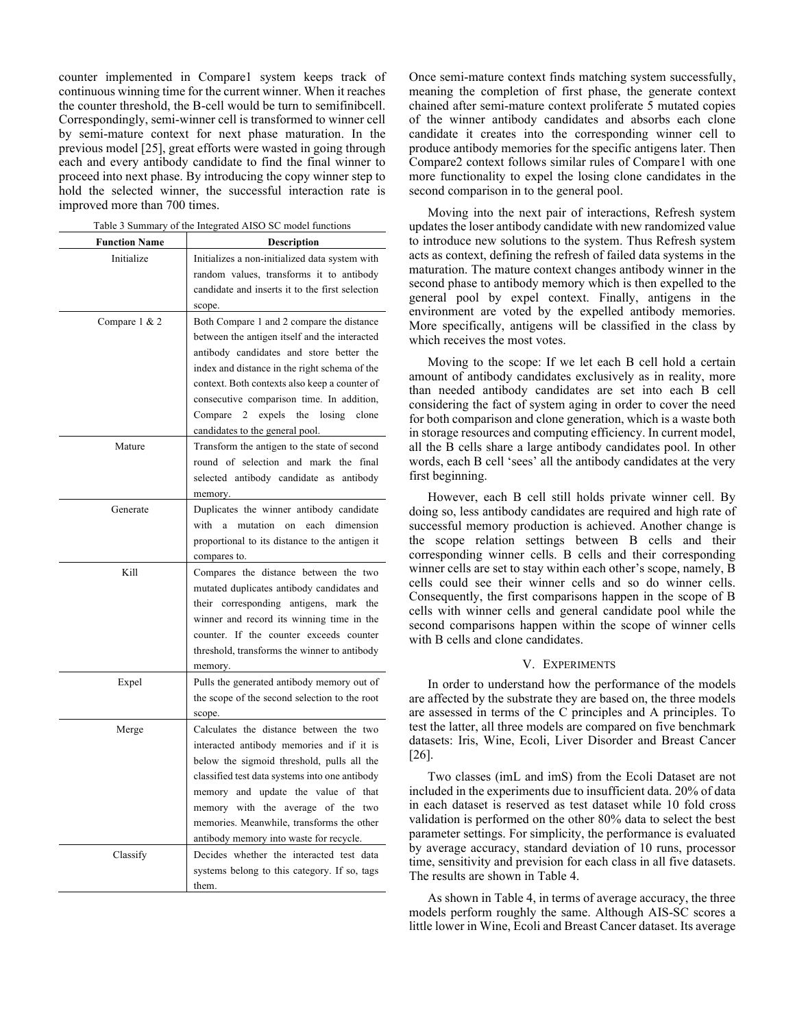counter implemented in Compare1 system keeps track of continuous winning time for the current winner. When it reaches the counter threshold, the B-cell would be turn to semifinibcell. Correspondingly, semi-winner cell is transformed to winner cell by semi-mature context for next phase maturation. In the previous model [25], great efforts were wasted in going through each and every antibody candidate to find the final winner to proceed into next phase. By introducing the copy winner step to hold the selected winner, the successful interaction rate is improved more than 700 times.

| <b>Function Name</b> | Description                                                                           |  |  |  |  |  |  |
|----------------------|---------------------------------------------------------------------------------------|--|--|--|--|--|--|
| Initialize           | Initializes a non-initialized data system with                                        |  |  |  |  |  |  |
|                      | random values, transforms it to antibody                                              |  |  |  |  |  |  |
|                      | candidate and inserts it to the first selection                                       |  |  |  |  |  |  |
|                      | scope.                                                                                |  |  |  |  |  |  |
| Compare 1 & 2        | Both Compare 1 and 2 compare the distance                                             |  |  |  |  |  |  |
|                      | between the antigen itself and the interacted                                         |  |  |  |  |  |  |
|                      | antibody candidates and store better the                                              |  |  |  |  |  |  |
|                      | index and distance in the right schema of the                                         |  |  |  |  |  |  |
|                      | context. Both contexts also keep a counter of                                         |  |  |  |  |  |  |
|                      | consecutive comparison time. In addition,                                             |  |  |  |  |  |  |
|                      | clone                                                                                 |  |  |  |  |  |  |
|                      | Compare 2<br>expels<br>the<br>losing                                                  |  |  |  |  |  |  |
|                      | candidates to the general pool.                                                       |  |  |  |  |  |  |
| Mature               | Transform the antigen to the state of second<br>round of selection and mark the final |  |  |  |  |  |  |
|                      |                                                                                       |  |  |  |  |  |  |
|                      | selected antibody candidate as antibody                                               |  |  |  |  |  |  |
|                      | memory.                                                                               |  |  |  |  |  |  |
| Generate             | Duplicates the winner antibody candidate                                              |  |  |  |  |  |  |
|                      | each dimension<br>with a mutation on                                                  |  |  |  |  |  |  |
|                      | proportional to its distance to the antigen it                                        |  |  |  |  |  |  |
|                      | compares to.                                                                          |  |  |  |  |  |  |
| Kill                 | Compares the distance between the two                                                 |  |  |  |  |  |  |
|                      | mutated duplicates antibody candidates and                                            |  |  |  |  |  |  |
|                      | their corresponding antigens, mark the                                                |  |  |  |  |  |  |
|                      | winner and record its winning time in the                                             |  |  |  |  |  |  |
|                      | counter. If the counter exceeds counter                                               |  |  |  |  |  |  |
|                      | threshold, transforms the winner to antibody                                          |  |  |  |  |  |  |
|                      | memory.                                                                               |  |  |  |  |  |  |
| Expel                | Pulls the generated antibody memory out of                                            |  |  |  |  |  |  |
|                      | the scope of the second selection to the root                                         |  |  |  |  |  |  |
|                      | scope.                                                                                |  |  |  |  |  |  |
| Merge                | Calculates the distance between the two                                               |  |  |  |  |  |  |
|                      | interacted antibody memories and if it is                                             |  |  |  |  |  |  |
|                      | below the sigmoid threshold, pulls all the                                            |  |  |  |  |  |  |
|                      | classified test data systems into one antibody                                        |  |  |  |  |  |  |
|                      | memory and update the value of that                                                   |  |  |  |  |  |  |
|                      | memory with the average of the two                                                    |  |  |  |  |  |  |
|                      | memories. Meanwhile, transforms the other                                             |  |  |  |  |  |  |
|                      | antibody memory into waste for recycle.                                               |  |  |  |  |  |  |
| Classify             | Decides whether the interacted test data                                              |  |  |  |  |  |  |
|                      | systems belong to this category. If so, tags                                          |  |  |  |  |  |  |
|                      | them.                                                                                 |  |  |  |  |  |  |

Table 3 Summary of the Integrated AISO SC model functions

Once semi-mature context finds matching system successfully, meaning the completion of first phase, the generate context chained after semi-mature context proliferate 5 mutated copies of the winner antibody candidates and absorbs each clone candidate it creates into the corresponding winner cell to produce antibody memories for the specific antigens later. Then Compare2 context follows similar rules of Compare1 with one more functionality to expel the losing clone candidates in the second comparison in to the general pool.

Moving into the next pair of interactions, Refresh system updates the loser antibody candidate with new randomized value to introduce new solutions to the system. Thus Refresh system acts as context, defining the refresh of failed data systems in the maturation. The mature context changes antibody winner in the second phase to antibody memory which is then expelled to the general pool by expel context. Finally, antigens in the environment are voted by the expelled antibody memories. More specifically, antigens will be classified in the class by which receives the most votes.

Moving to the scope: If we let each B cell hold a certain amount of antibody candidates exclusively as in reality, more than needed antibody candidates are set into each B cell considering the fact of system aging in order to cover the need for both comparison and clone generation, which is a waste both in storage resources and computing efficiency. In current model, all the B cells share a large antibody candidates pool. In other words, each B cell 'sees' all the antibody candidates at the very first beginning.

However, each B cell still holds private winner cell. By doing so, less antibody candidates are required and high rate of successful memory production is achieved. Another change is the scope relation settings between B cells and their corresponding winner cells. B cells and their corresponding winner cells are set to stay within each other's scope, namely, B cells could see their winner cells and so do winner cells. Consequently, the first comparisons happen in the scope of B cells with winner cells and general candidate pool while the second comparisons happen within the scope of winner cells with B cells and clone candidates.

# V. EXPERIMENTS

In order to understand how the performance of the models are affected by the substrate they are based on, the three models are assessed in terms of the C principles and A principles. To test the latter, all three models are compared on five benchmark datasets: Iris, Wine, Ecoli, Liver Disorder and Breast Cancer [26].

Two classes (imL and imS) from the Ecoli Dataset are not included in the experiments due to insufficient data. 20% of data in each dataset is reserved as test dataset while 10 fold cross validation is performed on the other 80% data to select the best parameter settings. For simplicity, the performance is evaluated by average accuracy, standard deviation of 10 runs, processor time, sensitivity and prevision for each class in all five datasets. The results are shown in Table 4.

As shown in Table 4, in terms of average accuracy, the three models perform roughly the same. Although AIS-SC scores a little lower in Wine, Ecoli and Breast Cancer dataset. Its average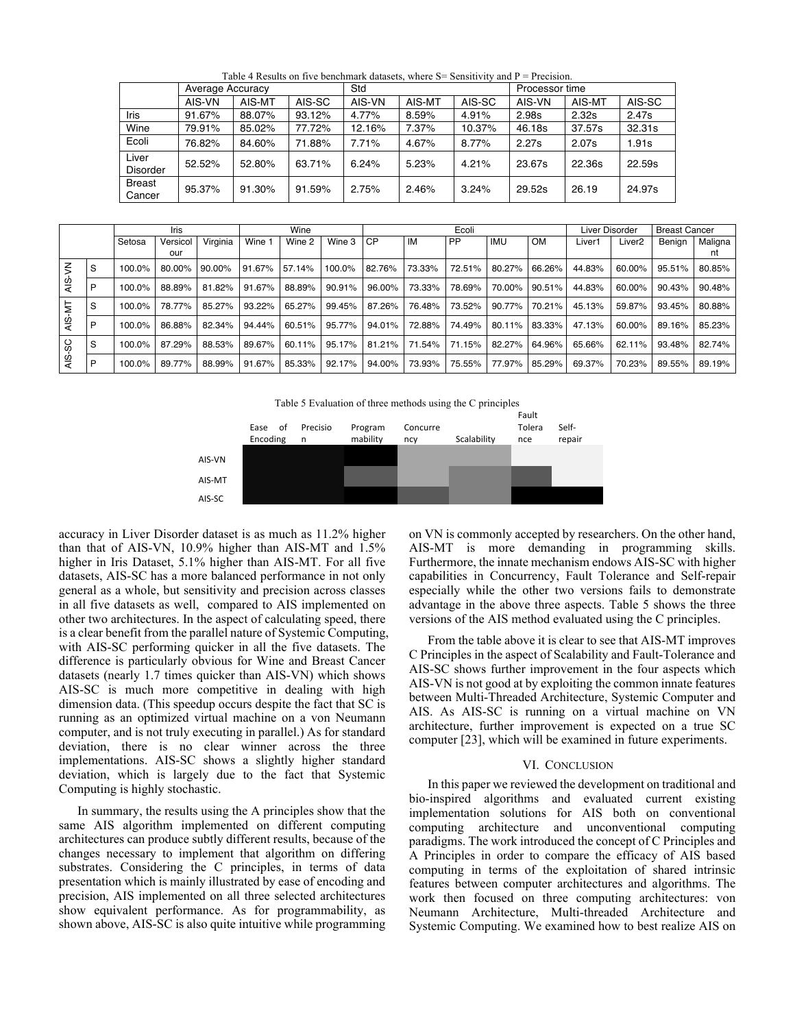|                          | Average Accuracy |        |        | Std    |        |        | Processor time |        |        |  |  |
|--------------------------|------------------|--------|--------|--------|--------|--------|----------------|--------|--------|--|--|
|                          | AIS-VN           | AIS-MT | AIS-SC | AIS-VN | AIS-MT | AIS-SC | AIS-VN         | AIS-MT | AIS-SC |  |  |
| Iris                     | 91.67%           | 88.07% | 93.12% | 4.77%  | 8.59%  | 4.91%  | 2.98s          | 2.32s  | 2.47s  |  |  |
| Wine                     | 79.91%           | 85.02% | 77.72% | 12.16% | 7.37%  | 10.37% | 46.18s         | 37.57s | 32.31s |  |  |
| Ecoli                    | 76.82%           | 84.60% | 71.88% | 7.71%  | 4.67%  | 8.77%  | 2.27s          | 2.07s  | 1.91s  |  |  |
| Liver<br><b>Disorder</b> | 52.52%           | 52.80% | 63.71% | 6.24%  | 5.23%  | 4.21%  | 23.67s         | 22.36s | 22.59s |  |  |
| <b>Breast</b><br>Cancer  | 95.37%           | 91.30% | 91.59% | 2.75%  | 2.46%  | 3.24%  | 29.52s         | 26.19  | 24.97s |  |  |

Table 4 Results on five benchmark datasets, where  $S =$  Sensitivity and P = Precision.

|                       |   | Iris   |                 |           | Wine   |        | Ecoli  |        |        |           | Liver Disorder |               | <b>Breast Cancer</b> |                    |        |               |
|-----------------------|---|--------|-----------------|-----------|--------|--------|--------|--------|--------|-----------|----------------|---------------|----------------------|--------------------|--------|---------------|
|                       |   | Setosa | Versicol<br>our | Virginia  | Wine 1 | Wine 2 | Wine 3 | l CP   | IM     | <b>PP</b> | <b>IMU</b>     | <b>OM</b>     | Liver1               | Liver <sub>2</sub> | Benian | Maligna<br>nt |
| AIS-VN                | S | 100.0% | 80.00%          | $90.00\%$ | 91.67% | 57.14% | 100.0% | 82.76% | 73.33% | 72.51%    | 80.27%         | 66.26%        | 44.83%               | 60.00%             | 95.51% | 80.85%        |
|                       | P | 100.0% | 88.89%          | 81.82%    | 91.67% | 88.89% | 90.91% | 96.00% | 73.33% | 78.69%    | 70.00%         | 90.51%        | 44.83%               | 60.00%             | 90.43% | 90.48%        |
|                       | S | 100.0% | 78.77%          | 85.27%    | 93.22% | 65.27% | 99.45% | 87.26% | 76.48% | 73.52%    | 90.77%         | 70.21%        | 45.13%               | 59.87%             | 93.45% | 80.88%        |
| AIS-MT                | P | 100.0% | 86.88%          | 82.34%    | 94.44% | 60.51% | 95.77% | 94.01% | 72.88% | 74.49%    | 80.11% 83.33%  |               | 47.13%               | 60.00%             | 89.16% | 85.23%        |
| SC<br>$\overline{AB}$ | S | 100.0% | 87.29%          | 88.53%    | 89.67% | 60.11% | 95.17% | 81.21% | 71.54% | 71.15%    | 82.27% 64.96%  |               | 65.66%               | 62.11%             | 93.48% | 82.74%        |
|                       | P | 100.0% | 89.77%          | 88.99%    | 91.67% | 85.33% | 92.17% | 94.00% | 73.93% | 75.55%    |                | 77.97% 85.29% | 69.37%               | 70.23%             | 89.55% | 89.19%        |

Table 5 Evaluation of three methods using the C principles



AIS-SC accuracy in Liver Disorder dataset is as much as 11.2% higher than that of AIS-VN, 10.9% higher than AIS-MT and 1.5% higher in Iris Dataset, 5.1% higher than AIS-MT. For all five datasets, AIS-SC has a more balanced performance in not only general as a whole, but sensitivity and precision across classes in all five datasets as well, compared to AIS implemented on other two architectures. In the aspect of calculating speed, there is a clear benefit from the parallel nature of Systemic Computing, with AIS-SC performing quicker in all the five datasets. The difference is particularly obvious for Wine and Breast Cancer datasets (nearly 1.7 times quicker than AIS-VN) which shows AIS-SC is much more competitive in dealing with high dimension data. (This speedup occurs despite the fact that SC is running as an optimized virtual machine on a von Neumann computer, and is not truly executing in parallel.) As for standard deviation, there is no clear winner across the three implementations. AIS-SC shows a slightly higher standard deviation, which is largely due to the fact that Systemic Computing is highly stochastic.

In summary, the results using the A principles show that the same AIS algorithm implemented on different computing architectures can produce subtly different results, because of the changes necessary to implement that algorithm on differing substrates. Considering the C principles, in terms of data presentation which is mainly illustrated by ease of encoding and precision, AIS implemented on all three selected architectures show equivalent performance. As for programmability, as shown above, AIS-SC is also quite intuitive while programming

on VN is commonly accepted by researchers. On the other hand, AIS-MT is more demanding in programming skills. Furthermore, the innate mechanism endows AIS-SC with higher capabilities in Concurrency, Fault Tolerance and Self-repair especially while the other two versions fails to demonstrate advantage in the above three aspects. Table 5 shows the three versions of the AIS method evaluated using the C principles.

From the table above it is clear to see that AIS-MT improves C Principles in the aspect of Scalability and Fault-Tolerance and AIS-SC shows further improvement in the four aspects which AIS-VN is not good at by exploiting the common innate features between Multi-Threaded Architecture, Systemic Computer and AIS. As AIS-SC is running on a virtual machine on VN architecture, further improvement is expected on a true SC computer [23], which will be examined in future experiments.

# VI. CONCLUSION

In this paper we reviewed the development on traditional and bio-inspired algorithms and evaluated current existing implementation solutions for AIS both on conventional computing architecture and unconventional computing paradigms. The work introduced the concept of C Principles and A Principles in order to compare the efficacy of AIS based computing in terms of the exploitation of shared intrinsic features between computer architectures and algorithms. The work then focused on three computing architectures: von Neumann Architecture, Multi-threaded Architecture and Systemic Computing. We examined how to best realize AIS on